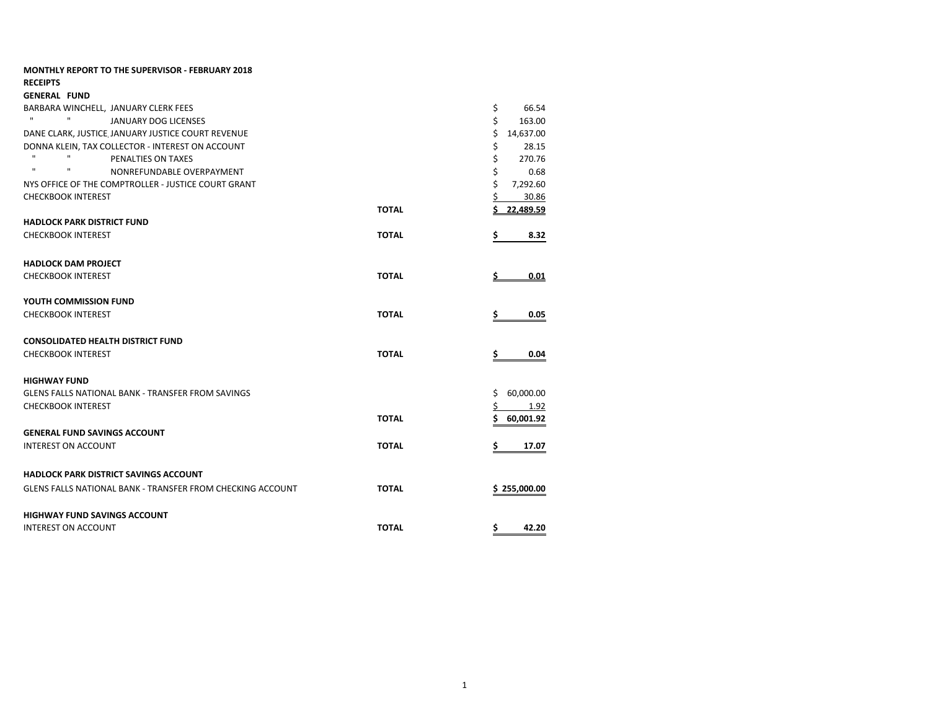| <b>MONTHLY REPORT TO THE SUPERVISOR - FEBRUARY 2018</b>           |              |                 |
|-------------------------------------------------------------------|--------------|-----------------|
| <b>RECEIPTS</b>                                                   |              |                 |
| <b>GENERAL FUND</b>                                               |              |                 |
| BARBARA WINCHELL, JANUARY CLERK FEES                              |              | \$<br>66.54     |
| $\mathbf{H}$ .<br>$\mathbf{H}$<br><b>JANUARY DOG LICENSES</b>     |              | \$<br>163.00    |
| DANE CLARK, JUSTICE JANUARY JUSTICE COURT REVENUE                 |              | \$<br>14,637.00 |
| DONNA KLEIN, TAX COLLECTOR - INTEREST ON ACCOUNT                  |              | \$<br>28.15     |
| $\mathbf{u}$<br>$\mathbf{u}$<br>PENALTIES ON TAXES                |              | \$<br>270.76    |
| $\mathbf{u}$<br>п<br>NONREFUNDABLE OVERPAYMENT                    |              | \$<br>0.68      |
| NYS OFFICE OF THE COMPTROLLER - JUSTICE COURT GRANT               |              | \$<br>7,292.60  |
| <b>CHECKBOOK INTEREST</b>                                         |              | \$<br>30.86     |
|                                                                   | <b>TOTAL</b> | 22.489.59       |
| <b>HADLOCK PARK DISTRICT FUND</b>                                 |              |                 |
| <b>CHECKBOOK INTEREST</b>                                         | <b>TOTAL</b> | Ś<br>8.32       |
| <b>HADLOCK DAM PROJECT</b>                                        |              |                 |
| <b>CHECKBOOK INTEREST</b>                                         | <b>TOTAL</b> | 0.01            |
| YOUTH COMMISSION FUND                                             |              |                 |
| <b>CHECKBOOK INTEREST</b>                                         | <b>TOTAL</b> | \$<br>0.05      |
| <b>CONSOLIDATED HEALTH DISTRICT FUND</b>                          |              |                 |
| <b>CHECKBOOK INTEREST</b>                                         | <b>TOTAL</b> | \$<br>0.04      |
| <b>HIGHWAY FUND</b>                                               |              |                 |
| <b>GLENS FALLS NATIONAL BANK - TRANSFER FROM SAVINGS</b>          |              | 60,000.00<br>Ś. |
| <b>CHECKBOOK INTEREST</b>                                         |              | 1.92            |
|                                                                   | <b>TOTAL</b> | Ś<br>60,001.92  |
| <b>GENERAL FUND SAVINGS ACCOUNT</b>                               |              |                 |
| <b>INTEREST ON ACCOUNT</b>                                        | <b>TOTAL</b> | \$<br>17.07     |
| <b>HADLOCK PARK DISTRICT SAVINGS ACCOUNT</b>                      |              |                 |
| <b>GLENS FALLS NATIONAL BANK - TRANSFER FROM CHECKING ACCOUNT</b> | <b>TOTAL</b> | \$255,000.00    |
| <b>HIGHWAY FUND SAVINGS ACCOUNT</b>                               |              |                 |
| <b>INTEREST ON ACCOUNT</b>                                        | <b>TOTAL</b> | \$<br>42.20     |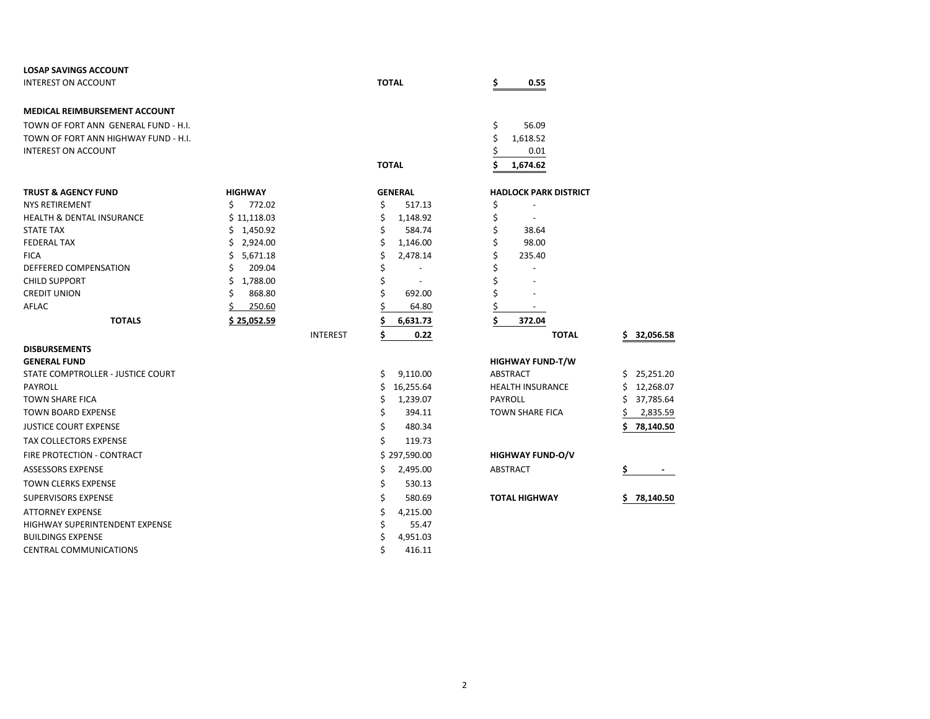| <b>LOSAP SAVINGS ACCOUNT</b>         |                |                 |                          |                              |                 |
|--------------------------------------|----------------|-----------------|--------------------------|------------------------------|-----------------|
| <b>INTEREST ON ACCOUNT</b>           |                |                 | <b>TOTAL</b>             | \$<br>0.55                   |                 |
| MEDICAL REIMBURSEMENT ACCOUNT        |                |                 |                          |                              |                 |
| TOWN OF FORT ANN GENERAL FUND - H.I. |                |                 |                          | \$<br>56.09                  |                 |
| TOWN OF FORT ANN HIGHWAY FUND - H.I. |                |                 |                          | \$<br>1,618.52               |                 |
| <b>INTEREST ON ACCOUNT</b>           |                |                 |                          | 0.01                         |                 |
|                                      |                |                 | <b>TOTAL</b>             | 1,674.62                     |                 |
|                                      |                |                 |                          |                              |                 |
| <b>TRUST &amp; AGENCY FUND</b>       | <b>HIGHWAY</b> |                 | <b>GENERAL</b>           | <b>HADLOCK PARK DISTRICT</b> |                 |
| <b>NYS RETIREMENT</b>                | Ś.<br>772.02   |                 | \$<br>517.13             | \$                           |                 |
| <b>HEALTH &amp; DENTAL INSURANCE</b> | \$11,118.03    |                 | \$<br>1,148.92           | \$                           |                 |
| <b>STATE TAX</b>                     | \$1,450.92     |                 | Ś<br>584.74              | \$<br>38.64                  |                 |
| <b>FEDERAL TAX</b>                   | Ś.<br>2,924.00 |                 | \$<br>1,146.00           | \$<br>98.00                  |                 |
| <b>FICA</b>                          | 5,671.18<br>Ś  |                 | 2,478.14<br>S            | \$<br>235.40                 |                 |
| DEFFERED COMPENSATION                | 209.04         |                 |                          | \$                           |                 |
| <b>CHILD SUPPORT</b>                 | Ś<br>1,788.00  |                 | $\overline{\phantom{a}}$ |                              |                 |
| <b>CREDIT UNION</b>                  | Ś<br>868.80    |                 | 692.00                   | \$                           |                 |
| AFLAC                                | 250.60         |                 | 64.80                    | Ś                            |                 |
| <b>TOTALS</b>                        | \$25,052.59    |                 | 6,631.73                 | \$<br>372.04                 |                 |
|                                      |                | <b>INTEREST</b> | \$<br>0.22               | <b>TOTAL</b>                 | 32,056.58       |
| <b>DISBURSEMENTS</b>                 |                |                 |                          |                              |                 |
| <b>GENERAL FUND</b>                  |                |                 |                          | <b>HIGHWAY FUND-T/W</b>      |                 |
| STATE COMPTROLLER - JUSTICE COURT    |                |                 | \$<br>9,110.00           | <b>ABSTRACT</b>              | Ś.<br>25,251.20 |
| <b>PAYROLL</b>                       |                |                 | 16,255.64<br>\$          | <b>HEALTH INSURANCE</b>      | 12,268.07<br>\$ |
| <b>TOWN SHARE FICA</b>               |                |                 | 1,239.07<br>\$           | <b>PAYROLL</b>               | Ś<br>37,785.64  |
| <b>TOWN BOARD EXPENSE</b>            |                |                 | \$<br>394.11             | <b>TOWN SHARE FICA</b>       | 2,835.59        |
| <b>JUSTICE COURT EXPENSE</b>         |                |                 | \$<br>480.34             |                              | 78,140.50       |
| <b>TAX COLLECTORS EXPENSE</b>        |                |                 | Ś.<br>119.73             |                              |                 |
| FIRE PROTECTION - CONTRACT           |                |                 | \$297,590.00             | <b>HIGHWAY FUND-O/V</b>      |                 |
| <b>ASSESSORS EXPENSE</b>             |                |                 | 2,495.00<br>\$           | <b>ABSTRACT</b>              |                 |
| <b>TOWN CLERKS EXPENSE</b>           |                |                 | \$<br>530.13             |                              |                 |
| <b>SUPERVISORS EXPENSE</b>           |                |                 | \$<br>580.69             | <b>TOTAL HIGHWAY</b>         | 78,140.50       |
| <b>ATTORNEY EXPENSE</b>              |                |                 | \$<br>4,215.00           |                              |                 |
| HIGHWAY SUPERINTENDENT EXPENSE       |                |                 | 55.47                    |                              |                 |
| <b>BUILDINGS EXPENSE</b>             |                |                 | 4,951.03<br>S            |                              |                 |
| <b>CENTRAL COMMUNICATIONS</b>        |                |                 | 416.11                   |                              |                 |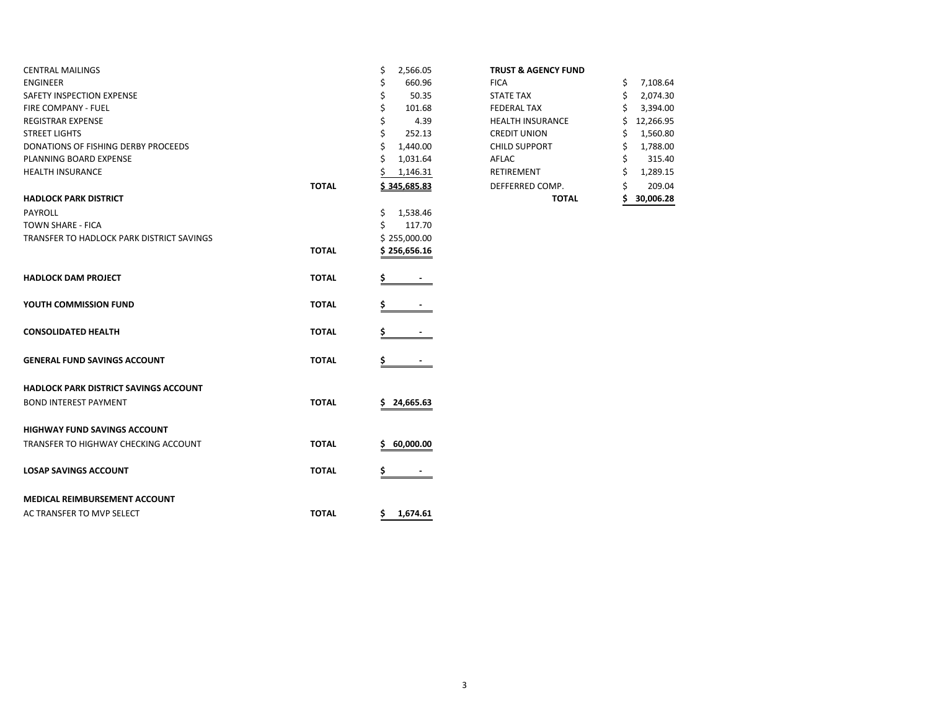|              | \$<br>2,566.05  | <b>TRUST &amp; AGENCY FUND</b> |                |
|--------------|-----------------|--------------------------------|----------------|
|              | 660.96          | <b>FICA</b>                    | \$<br>7,108.64 |
|              | 50.35           | <b>STATE TAX</b>               | \$<br>2,074.30 |
|              | 101.68          | <b>FEDERAL TAX</b>             | 3,394.00       |
|              | 4.39<br>\$      | <b>HEALTH INSURANCE</b>        | 12,266.95      |
|              | 252.13          | <b>CREDIT UNION</b>            | 1,560.80       |
|              | 1,440.00        | <b>CHILD SUPPORT</b>           | 1,788.00       |
|              | 1,031.64        | AFLAC                          | 315.40         |
|              | 1,146.31        | RETIREMENT                     | 1,289.15       |
| <b>TOTAL</b> | \$345,685.83    | DEFFERRED COMP.                | 209.04         |
|              |                 | <b>TOTAL</b>                   | 30,006.28      |
|              | \$<br>1,538.46  |                                |                |
|              | Ś<br>117.70     |                                |                |
|              | \$255,000.00    |                                |                |
| <b>TOTAL</b> | \$256,656.16    |                                |                |
| <b>TOTAL</b> |                 |                                |                |
| <b>TOTAL</b> |                 |                                |                |
| <b>TOTAL</b> |                 |                                |                |
| <b>TOTAL</b> | S.              |                                |                |
|              |                 |                                |                |
| <b>TOTAL</b> | \$24,665.63     |                                |                |
|              |                 |                                |                |
| <b>TOTAL</b> | 60,000.00<br>s  |                                |                |
| <b>TOTAL</b> | \$              |                                |                |
|              |                 |                                |                |
| <b>TOTAL</b> | 1,674.61<br>\$. |                                |                |
|              |                 |                                |                |

## **TRUST & AGENCY FUND**

|       |                | <b>TOTAL</b>            | 30,006.28       |
|-------|----------------|-------------------------|-----------------|
| ΤΟΤΑL | \$345,685.83   | DEFFERRED COMP.         | \$<br>209.04    |
|       | 1,146.31       | <b>RETIREMENT</b>       | \$<br>1,289.15  |
|       | \$<br>1,031.64 | AFLAC                   | \$<br>315.40    |
|       | \$<br>1,440.00 | <b>CHILD SUPPORT</b>    | \$<br>1,788.00  |
|       | \$<br>252.13   | <b>CREDIT UNION</b>     | \$<br>1,560.80  |
|       | \$<br>4.39     | <b>HEALTH INSURANCE</b> | \$<br>12,266.95 |
|       | \$<br>101.68   | <b>FEDERAL TAX</b>      | \$<br>3,394.00  |
|       | \$<br>50.35    | <b>STATE TAX</b>        | \$<br>2,074.30  |
|       | \$<br>660.96   | <b>FICA</b>             | \$<br>7,108.64  |